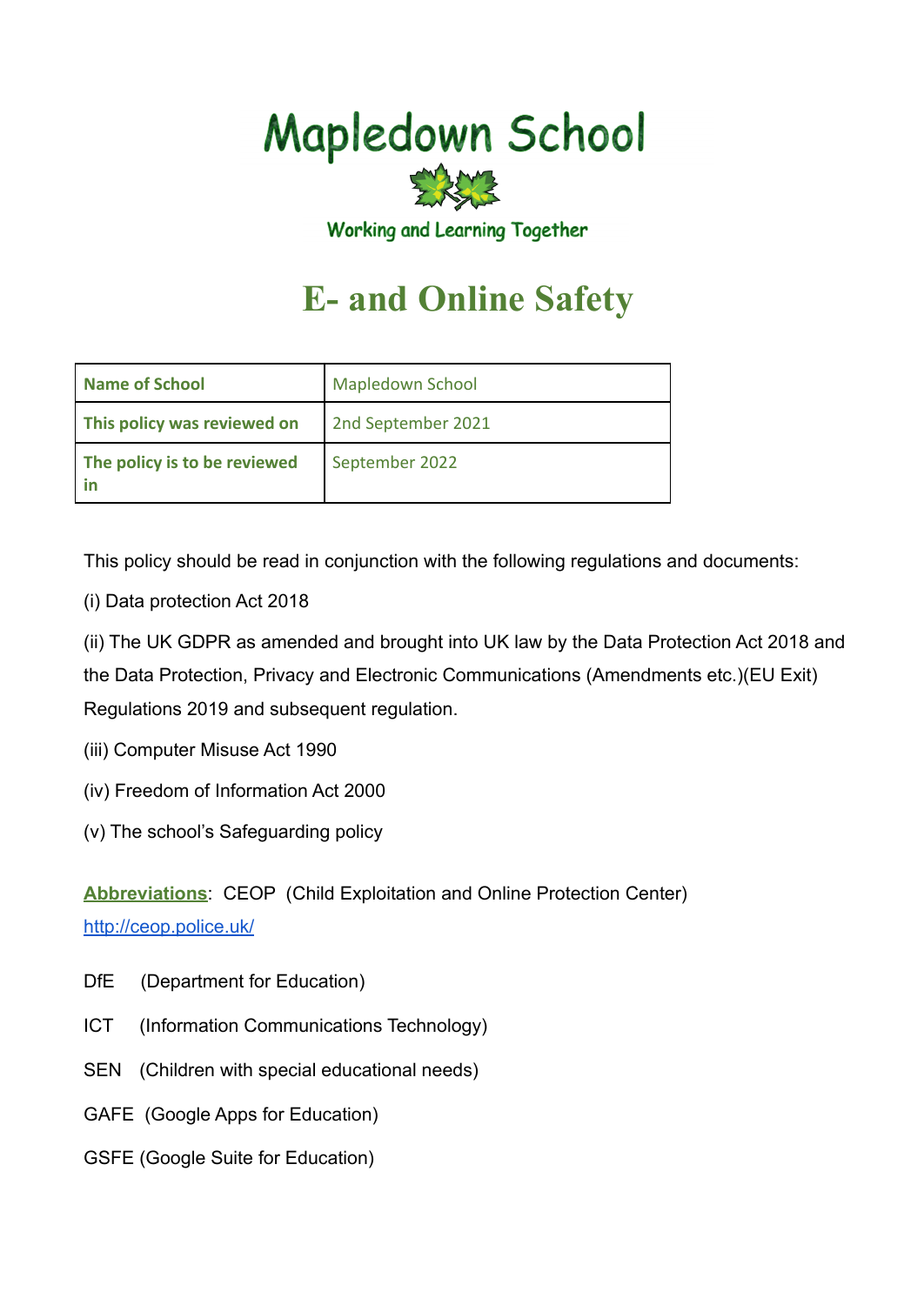# **Mapledown School**



Working and Learning Together

# **E- and Online Safety**

| <b>Name of School</b>              | <b>Mapledown School</b> |
|------------------------------------|-------------------------|
| This policy was reviewed on        | 2nd September 2021      |
| The policy is to be reviewed<br>in | September 2022          |

This policy should be read in conjunction with the following regulations and documents:

- (i) Data protection Act 2018
- (ii) The UK GDPR as amended and brought into UK law by the Data Protection Act 2018 and the Data Protection, Privacy and Electronic Communications (Amendments etc.)(EU Exit) Regulations 2019 and subsequent regulation.
- (iii) Computer Misuse Act 1990
- (iv) Freedom of Information Act 2000
- (v) The school's Safeguarding policy

**Abbreviations**: CEOP (Child Exploitation and Online Protection Center) <http://ceop.police.uk/>

- DfE (Department for Education)
- ICT (Information Communications Technology)
- SEN (Children with special educational needs)
- GAFE (Google Apps for Education)
- GSFE (Google Suite for Education)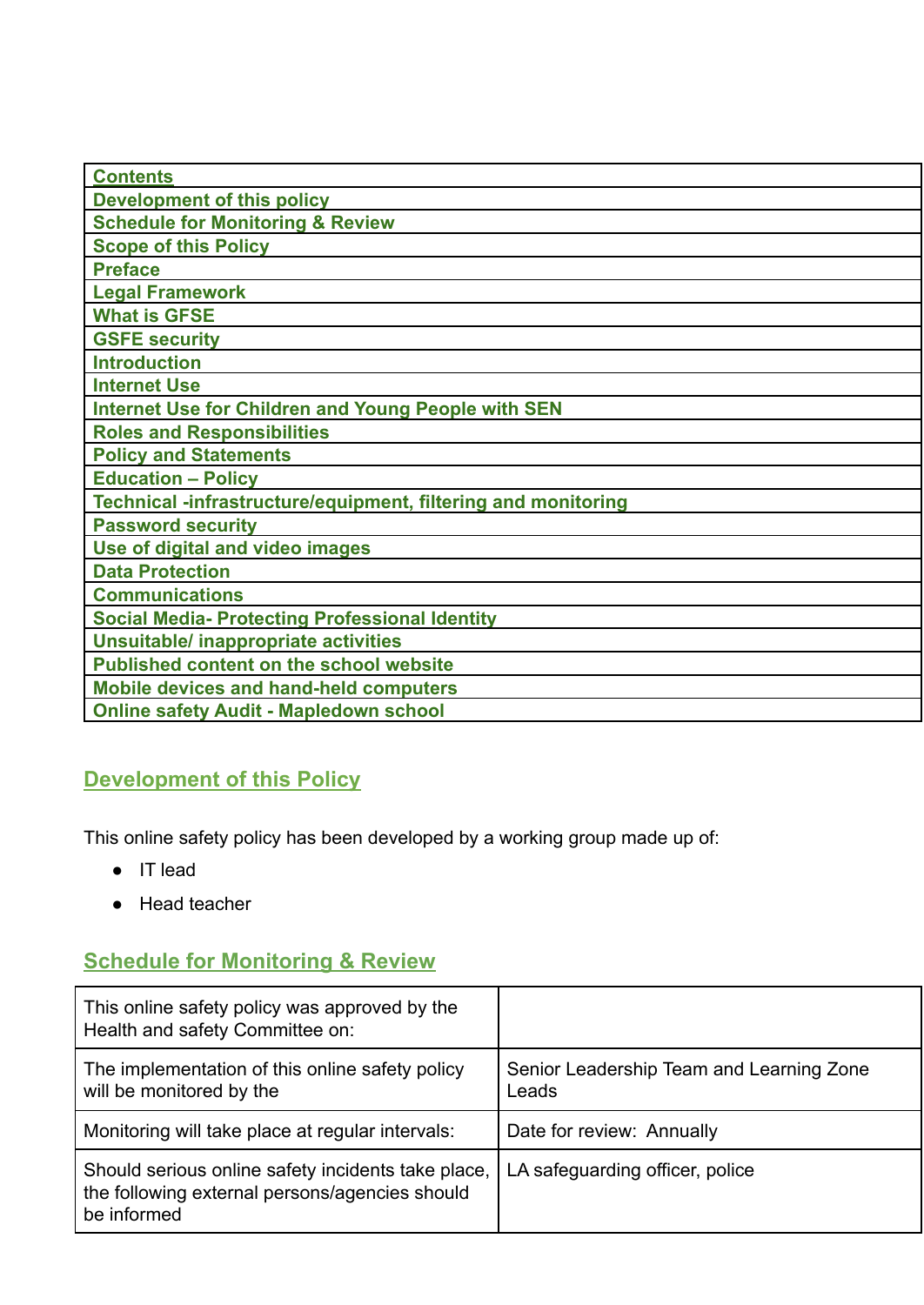| <b>Contents</b>                                               |
|---------------------------------------------------------------|
| <b>Development of this policy</b>                             |
| <b>Schedule for Monitoring &amp; Review</b>                   |
| <b>Scope of this Policy</b>                                   |
| <b>Preface</b>                                                |
| <b>Legal Framework</b>                                        |
| <b>What is GFSE</b>                                           |
| <b>GSFE security</b>                                          |
| <b>Introduction</b>                                           |
| <b>Internet Use</b>                                           |
| <b>Internet Use for Children and Young People with SEN</b>    |
| <b>Roles and Responsibilities</b>                             |
| <b>Policy and Statements</b>                                  |
| <b>Education - Policy</b>                                     |
| Technical -infrastructure/equipment, filtering and monitoring |
| <b>Password security</b>                                      |
| Use of digital and video images                               |
| <b>Data Protection</b>                                        |
| <b>Communications</b>                                         |
| <b>Social Media- Protecting Professional Identity</b>         |
| <b>Unsuitable/ inappropriate activities</b>                   |
| <b>Published content on the school website</b>                |
| <b>Mobile devices and hand-held computers</b>                 |
| <b>Online safety Audit - Mapledown school</b>                 |
|                                                               |

# **Development of this Policy**

This online safety policy has been developed by a working group made up of:

- IT lead
- Head teacher

# **Schedule for Monitoring & Review**

| This online safety policy was approved by the<br>Health and safety Committee on:                                    |                                                   |
|---------------------------------------------------------------------------------------------------------------------|---------------------------------------------------|
| The implementation of this online safety policy<br>will be monitored by the                                         | Senior Leadership Team and Learning Zone<br>Leads |
| Monitoring will take place at regular intervals:                                                                    | Date for review: Annually                         |
| Should serious online safety incidents take place,<br>the following external persons/agencies should<br>be informed | LA safeguarding officer, police                   |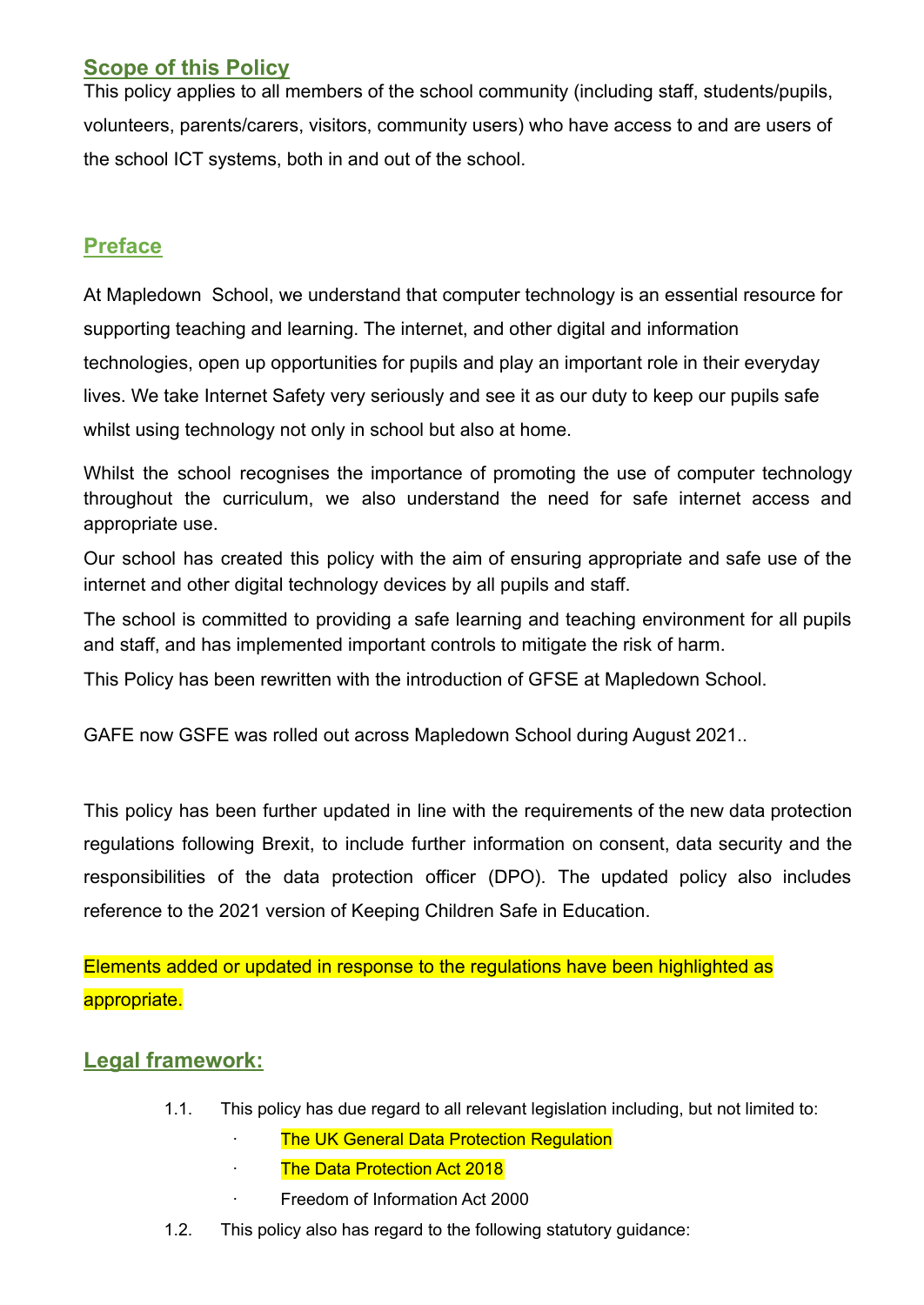#### **Scope of this Policy**

This policy applies to all members of the school community (including staff, students/pupils, volunteers, parents/carers, visitors, community users) who have access to and are users of the school ICT systems, both in and out of the school.

#### **Preface**

At Mapledown School, we understand that computer technology is an essential resource for supporting teaching and learning. The internet, and other digital and information technologies, open up opportunities for pupils and play an important role in their everyday lives. We take Internet Safety very seriously and see it as our duty to keep our pupils safe whilst using technology not only in school but also at home.

Whilst the school recognises the importance of promoting the use of computer technology throughout the curriculum, we also understand the need for safe internet access and appropriate use.

Our school has created this policy with the aim of ensuring appropriate and safe use of the internet and other digital technology devices by all pupils and staff.

The school is committed to providing a safe learning and teaching environment for all pupils and staff, and has implemented important controls to mitigate the risk of harm.

This Policy has been rewritten with the introduction of GFSE at Mapledown School.

GAFE now GSFE was rolled out across Mapledown School during August 2021..

This policy has been further updated in line with the requirements of the new data protection regulations following Brexit, to include further information on consent, data security and the responsibilities of the data protection officer (DPO). The updated policy also includes reference to the 2021 version of Keeping Children Safe in Education.

Elements added or updated in response to the regulations have been highlighted as appropriate.

#### **Legal framework:**

- 1.1. This policy has due regard to all relevant legislation including, but not limited to:
	- **The UK General Data Protection Regulation**
	- · The Data Protection Act 2018
	- · Freedom of Information Act 2000
- 1.2. This policy also has regard to the following statutory guidance: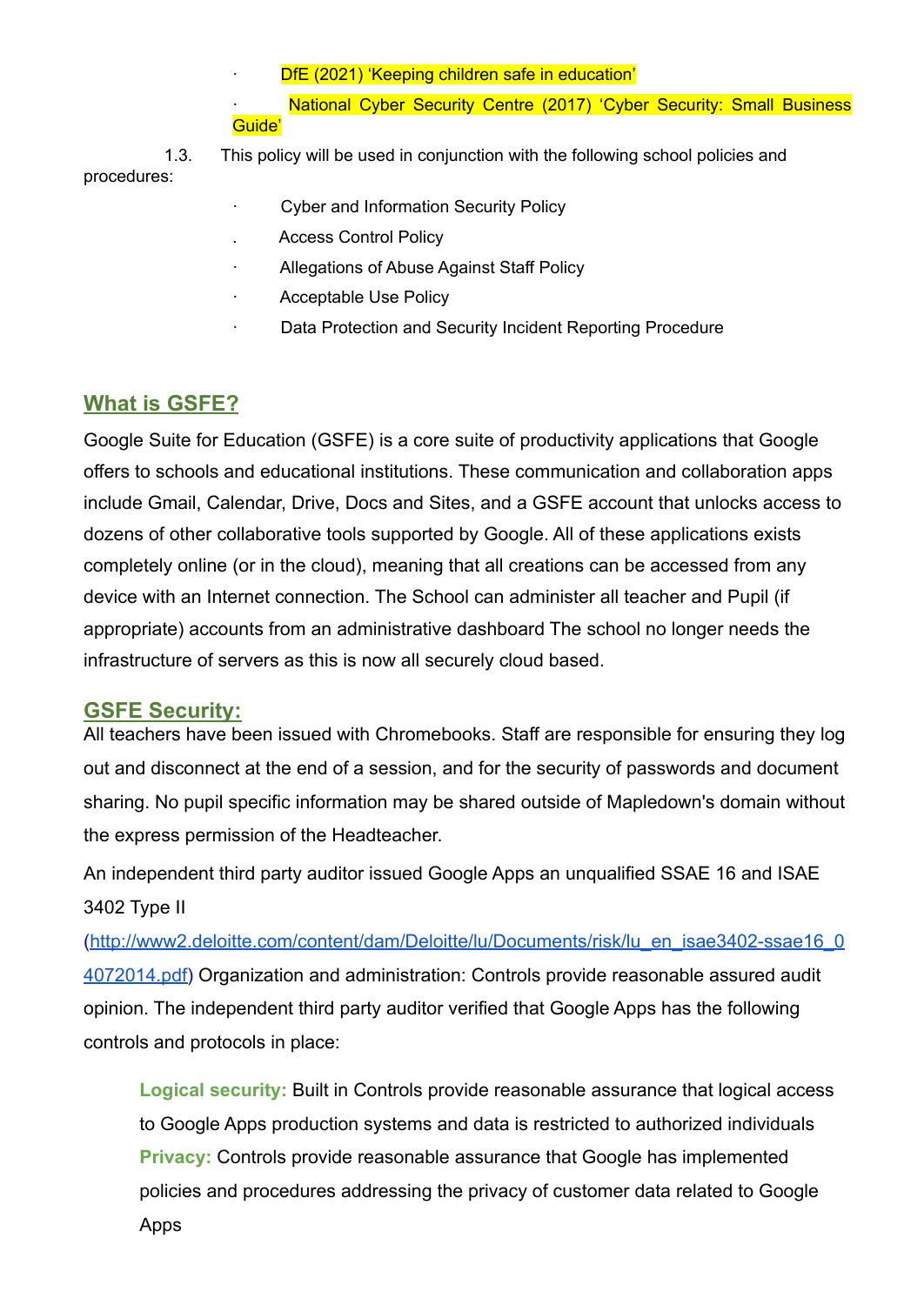DfE (2021) 'Keeping children safe in education'

National Cyber Security Centre (2017) 'Cyber Security: Small Business Guide'

1.3. This policy will be used in conjunction with the following school policies and procedures:

- · Cyber and Information Security Policy
- . Access Control Policy
- Allegations of Abuse Against Staff Policy
- Acceptable Use Policy
- Data Protection and Security Incident Reporting Procedure

#### **What is GSFE?**

Google Suite for Education (GSFE) is a core suite of productivity applications that Google offers to schools and educational institutions. These communication and collaboration apps include Gmail, Calendar, Drive, Docs and Sites, and a GSFE account that unlocks access to dozens of other collaborative tools supported by Google. All of these applications exists completely online (or in the cloud), meaning that all creations can be accessed from any device with an Internet connection. The School can administer all teacher and Pupil (if appropriate) accounts from an administrative dashboard The school no longer needs the infrastructure of servers as this is now all securely cloud based.

#### **GSFE Security:**

All teachers have been issued with Chromebooks. Staff are responsible for ensuring they log out and disconnect at the end of a session, and for the security of passwords and document sharing. No pupil specific information may be shared outside of Mapledown's domain without the express permission of the Headteacher.

An independent third party auditor issued Google Apps an unqualified SSAE 16 and ISAE 3402 Type II

([http://www2.deloitte.com/content/dam/Deloitte/lu/Documents/risk/lu\\_en\\_isae3402-ssae16\\_0](http://www2.deloitte.com/content/dam/Deloitte/lu/Documents/risk/lu_en_isae3402-ssae16_04072014.pdf) [4072014.pdf\)](http://www2.deloitte.com/content/dam/Deloitte/lu/Documents/risk/lu_en_isae3402-ssae16_04072014.pdf) Organization and administration: Controls provide reasonable assured audit opinion. The independent third party auditor verified that Google Apps has the following controls and protocols in place:

**Logical security:** Built in Controls provide reasonable assurance that logical access to Google Apps production systems and data is restricted to authorized individuals **Privacy:** Controls provide reasonable assurance that Google has implemented policies and procedures addressing the privacy of customer data related to Google Apps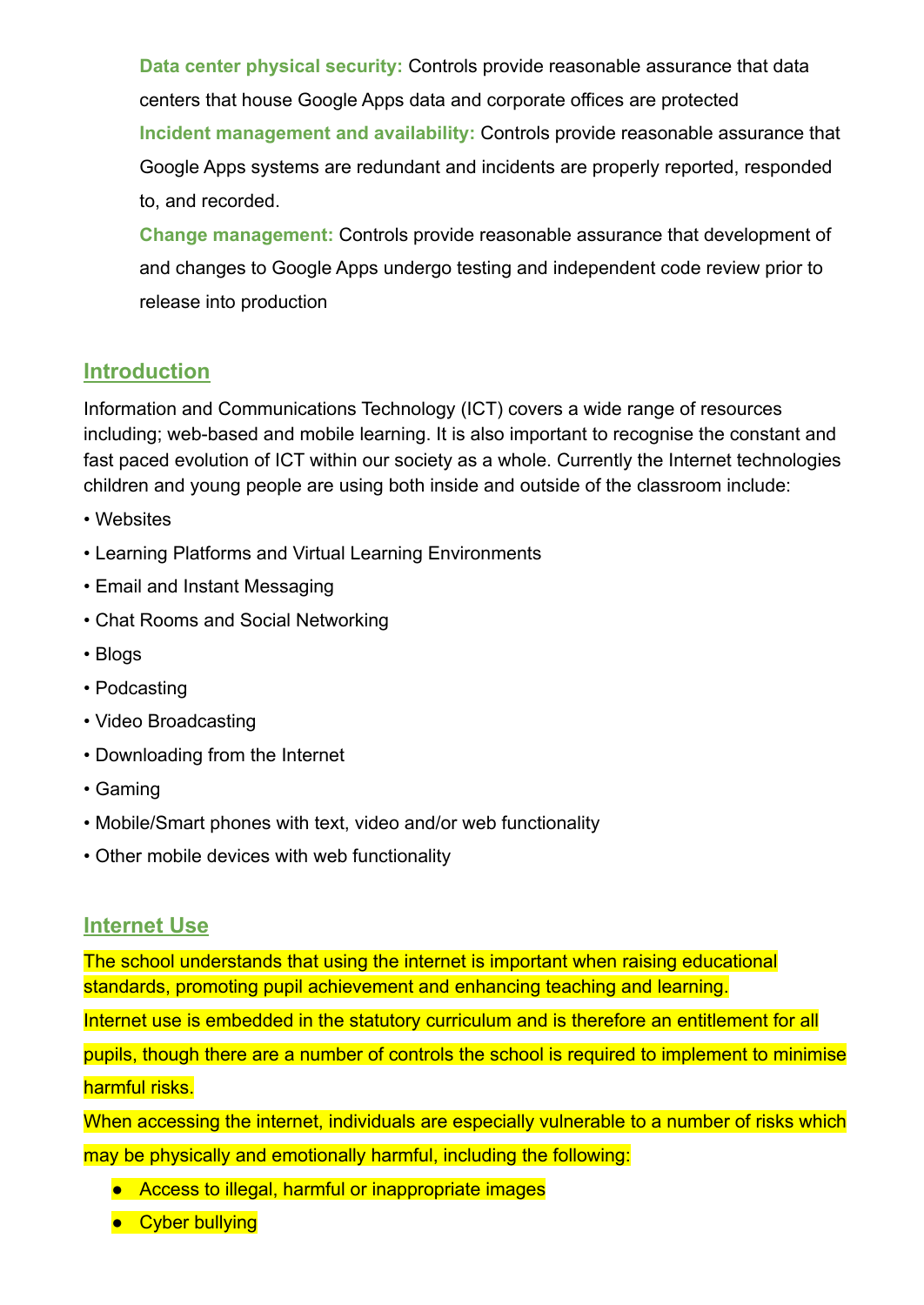**Data center physical security:** Controls provide reasonable assurance that data centers that house Google Apps data and corporate offices are protected **Incident management and availability:** Controls provide reasonable assurance that Google Apps systems are redundant and incidents are properly reported, responded to, and recorded.

**Change management:** Controls provide reasonable assurance that development of and changes to Google Apps undergo testing and independent code review prior to release into production

#### **Introduction**

Information and Communications Technology (ICT) covers a wide range of resources including; web-based and mobile learning. It is also important to recognise the constant and fast paced evolution of ICT within our society as a whole. Currently the Internet technologies children and young people are using both inside and outside of the classroom include:

- Websites
- Learning Platforms and Virtual Learning Environments
- Email and Instant Messaging
- Chat Rooms and Social Networking
- Blogs
- Podcasting
- Video Broadcasting
- Downloading from the Internet
- Gaming
- Mobile/Smart phones with text, video and/or web functionality
- Other mobile devices with web functionality

#### **Internet Use**

The school understands that using the internet is important when raising educational standards, promoting pupil achievement and enhancing teaching and learning.

Internet use is embedded in the statutory curriculum and is therefore an entitlement for all

pupils, though there are a number of controls the school is required to implement to minimise harmful risks.

When accessing the internet, individuals are especially vulnerable to a number of risks which may be physically and emotionally harmful, including the following:

- Access to illegal, harmful or inappropriate images
- Cyber bullying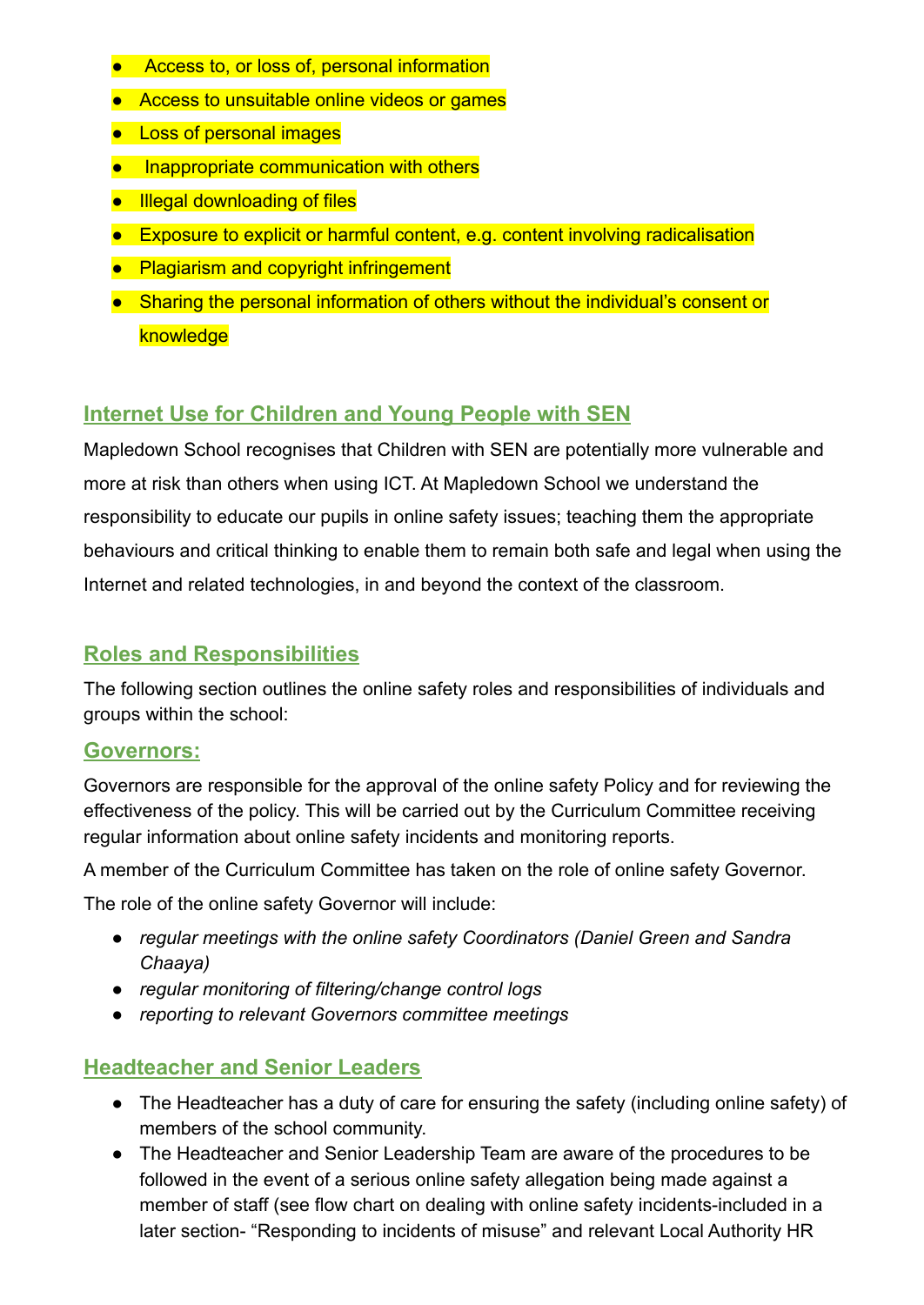- Access to, or loss of, personal information
- Access to unsuitable online videos or games
- Loss of personal images
- Inappropriate communication with others
- Illegal downloading of files
- Exposure to explicit or harmful content, e.g. content involving radicalisation
- Plagiarism and copyright infringement
- Sharing the personal information of others without the individual's consent or knowledge

### **Internet Use for Children and Young People with SEN**

Mapledown School recognises that Children with SEN are potentially more vulnerable and more at risk than others when using ICT. At Mapledown School we understand the responsibility to educate our pupils in online safety issues; teaching them the appropriate behaviours and critical thinking to enable them to remain both safe and legal when using the Internet and related technologies, in and beyond the context of the classroom.

#### **Roles and Responsibilities**

The following section outlines the online safety roles and responsibilities of individuals and groups within the school:

#### **Governors:**

Governors are responsible for the approval of the online safety Policy and for reviewing the effectiveness of the policy. This will be carried out by the Curriculum Committee receiving regular information about online safety incidents and monitoring reports.

A member of the Curriculum Committee has taken on the role of online safety Governor.

The role of the online safety Governor will include:

- *● regular meetings with the online safety Coordinators (Daniel Green and Sandra Chaaya)*
- *● regular monitoring of filtering/change control logs*
- *● reporting to relevant Governors committee meetings*

#### **Headteacher and Senior Leaders**

- The Headteacher has a duty of care for ensuring the safety (including online safety) of members of the school community.
- The Headteacher and Senior Leadership Team are aware of the procedures to be followed in the event of a serious online safety allegation being made against a member of staff (see flow chart on dealing with online safety incidents-included in a later section- "Responding to incidents of misuse" and relevant Local Authority HR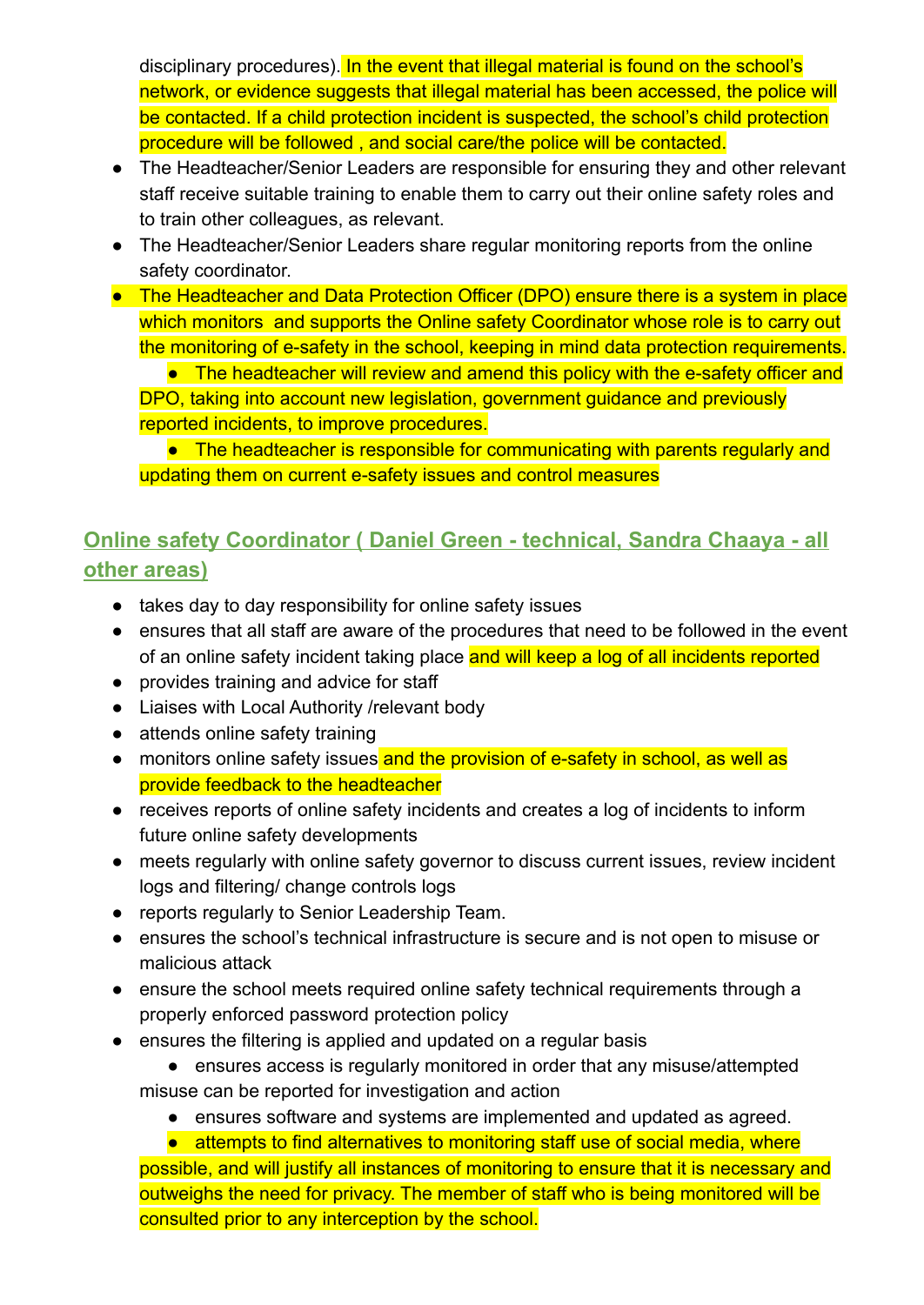disciplinary procedures). In the event that illegal material is found on the school's network, or evidence suggests that illegal material has been accessed, the police will be contacted. If a child protection incident is suspected, the school's child protection procedure will be followed , and social care/the police will be contacted.

- The Headteacher/Senior Leaders are responsible for ensuring they and other relevant staff receive suitable training to enable them to carry out their online safety roles and to train other colleagues, as relevant.
- The Headteacher/Senior Leaders share regular monitoring reports from the online safety coordinator.
- The Headteacher and Data Protection Officer (DPO) ensure there is a system in place which monitors and supports the Online safety Coordinator whose role is to carry out the monitoring of e-safety in the school, keeping in mind data protection requirements.

■ The headteacher will review and amend this policy with the e-safety officer and DPO, taking into account new legislation, government guidance and previously reported incidents, to improve procedures.

● The headteacher is responsible for communicating with parents regularly and updating them on current e-safety issues and control measures

# **Online safety Coordinator ( Daniel Green - technical, Sandra Chaaya - all other areas)**

- takes day to day responsibility for online safety issues
- ensures that all staff are aware of the procedures that need to be followed in the event of an online safety incident taking place and will keep a log of all incidents reported
- provides training and advice for staff
- Liaises with Local Authority /relevant body
- attends online safety training
- monitors online safety issues and the provision of e-safety in school, as well as provide feedback to the headteacher
- receives reports of online safety incidents and creates a log of incidents to inform future online safety developments
- meets regularly with online safety governor to discuss current issues, review incident logs and filtering/ change controls logs
- reports regularly to Senior Leadership Team.
- ensures the school's technical infrastructure is secure and is not open to misuse or malicious attack
- ensure the school meets required online safety technical requirements through a properly enforced password protection policy
- ensures the filtering is applied and updated on a regular basis
	- ensures access is regularly monitored in order that any misuse/attempted misuse can be reported for investigation and action
		- ensures software and systems are implemented and updated as agreed.

● attempts to find alternatives to monitoring staff use of social media, where possible, and will justify all instances of monitoring to ensure that it is necessary and outweighs the need for privacy. The member of staff who is being monitored will be consulted prior to any interception by the school.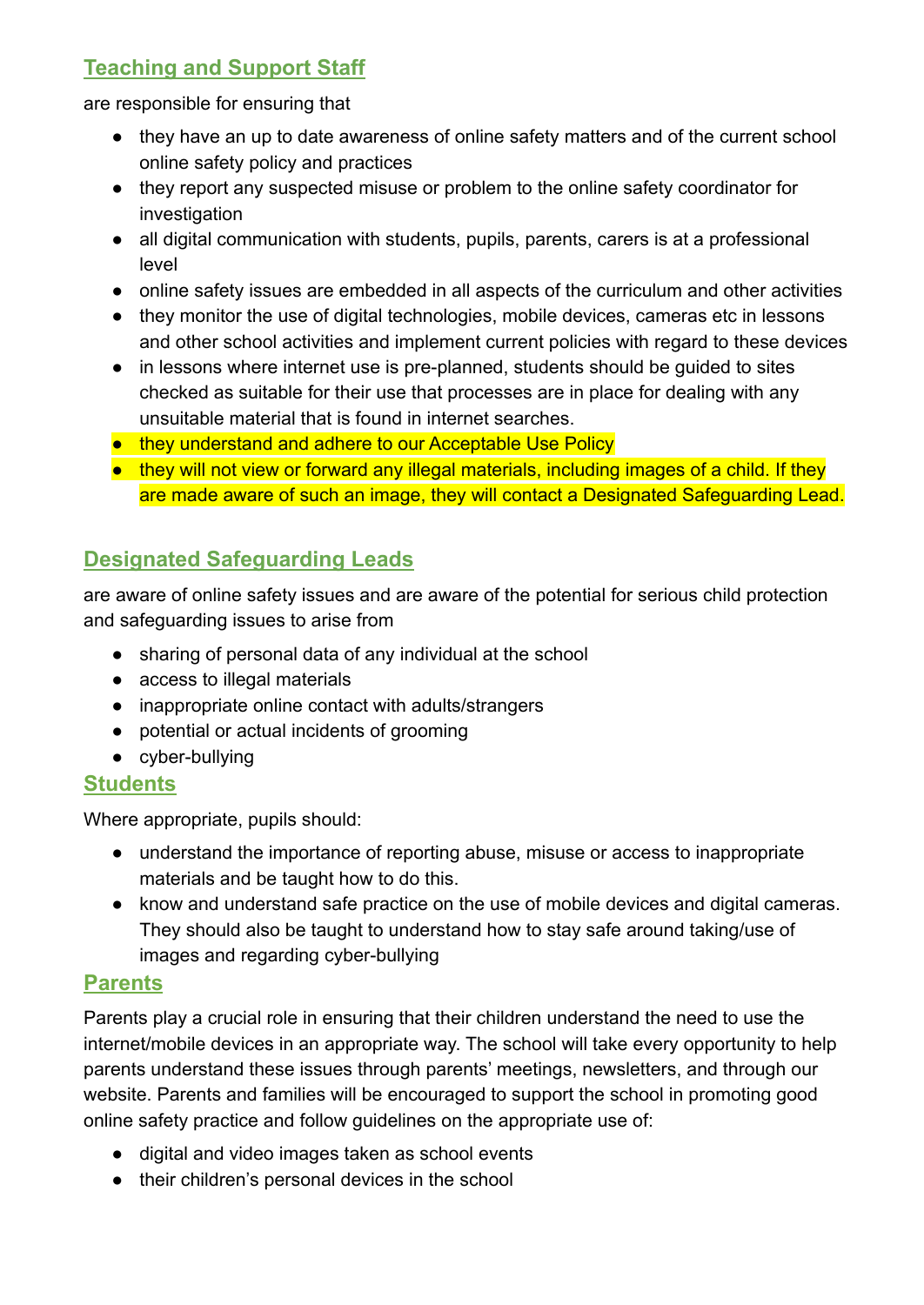# **Teaching and Support Staff**

are responsible for ensuring that

- they have an up to date awareness of online safety matters and of the current school online safety policy and practices
- they report any suspected misuse or problem to the online safety coordinator for investigation
- all digital communication with students, pupils, parents, carers is at a professional level
- online safety issues are embedded in all aspects of the curriculum and other activities
- they monitor the use of digital technologies, mobile devices, cameras etc in lessons and other school activities and implement current policies with regard to these devices
- in lessons where internet use is pre-planned, students should be guided to sites checked as suitable for their use that processes are in place for dealing with any unsuitable material that is found in internet searches.
- they understand and adhere to our Acceptable Use Policy
- they will not view or forward any illegal materials, including images of a child. If they are made aware of such an image, they will contact a Designated Safeguarding Lead.

# **Designated Safeguarding Leads**

are aware of online safety issues and are aware of the potential for serious child protection and safeguarding issues to arise from

- sharing of personal data of any individual at the school
- access to illegal materials
- inappropriate online contact with adults/strangers
- potential or actual incidents of grooming
- cyber-bullying

#### **Students**

Where appropriate, pupils should:

- understand the importance of reporting abuse, misuse or access to inappropriate materials and be taught how to do this.
- know and understand safe practice on the use of mobile devices and digital cameras. They should also be taught to understand how to stay safe around taking/use of images and regarding cyber-bullying

#### **Parents**

Parents play a crucial role in ensuring that their children understand the need to use the internet/mobile devices in an appropriate way. The school will take every opportunity to help parents understand these issues through parents' meetings, newsletters, and through our website. Parents and families will be encouraged to support the school in promoting good online safety practice and follow guidelines on the appropriate use of:

- digital and video images taken as school events
- their children's personal devices in the school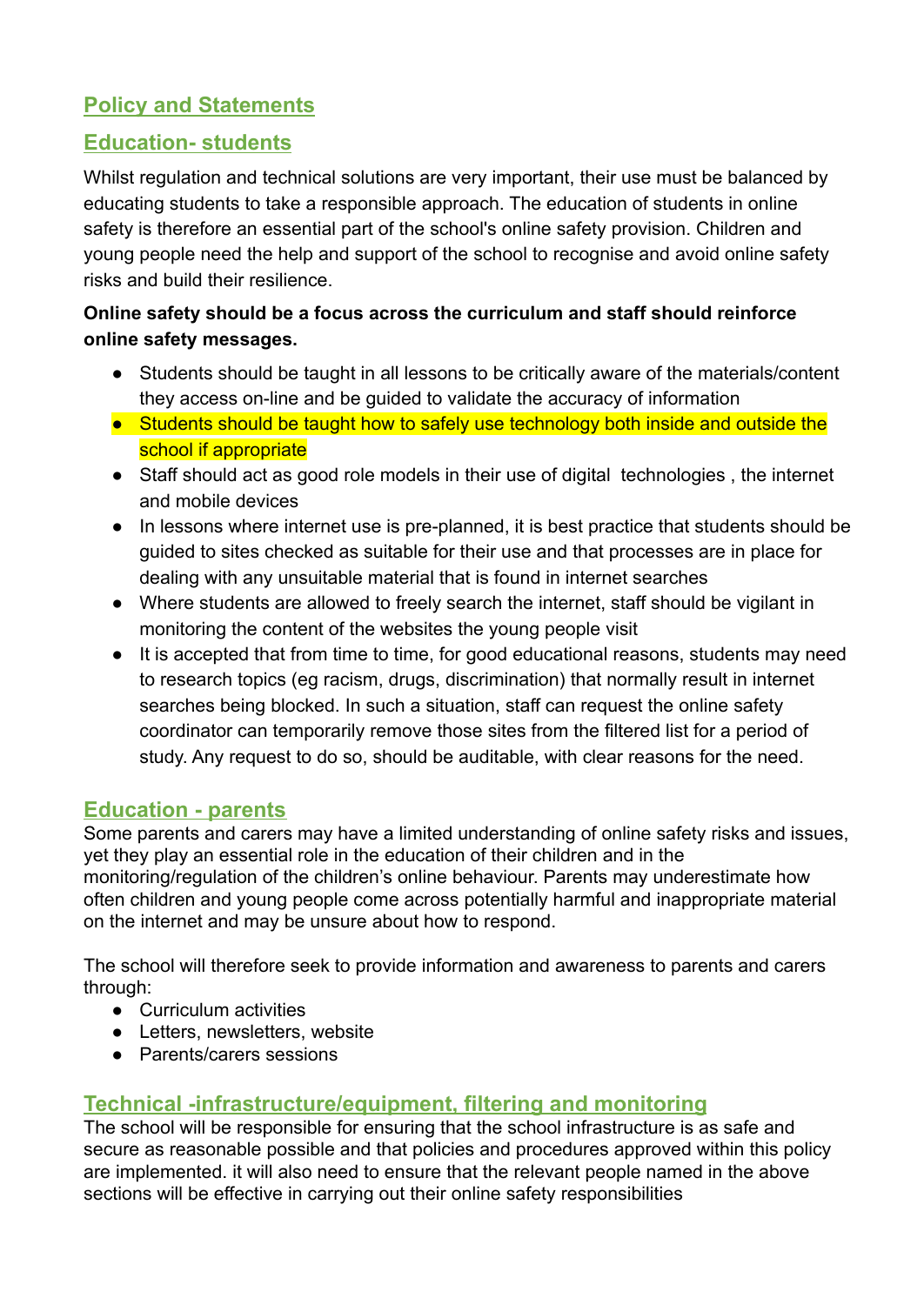#### **Policy and Statements**

#### **Education- students**

Whilst regulation and technical solutions are very important, their use must be balanced by educating students to take a responsible approach. The education of students in online safety is therefore an essential part of the school's online safety provision. Children and young people need the help and support of the school to recognise and avoid online safety risks and build their resilience.

#### **Online safety should be a focus across the curriculum and staff should reinforce online safety messages.**

- Students should be taught in all lessons to be critically aware of the materials/content they access on-line and be guided to validate the accuracy of information
- Students should be taught how to safely use technology both inside and outside the school if appropriate
- Staff should act as good role models in their use of digital technologies , the internet and mobile devices
- In lessons where internet use is pre-planned, it is best practice that students should be guided to sites checked as suitable for their use and that processes are in place for dealing with any unsuitable material that is found in internet searches
- Where students are allowed to freely search the internet, staff should be vigilant in monitoring the content of the websites the young people visit
- It is accepted that from time to time, for good educational reasons, students may need to research topics (eg racism, drugs, discrimination) that normally result in internet searches being blocked. In such a situation, staff can request the online safety coordinator can temporarily remove those sites from the filtered list for a period of study. Any request to do so, should be auditable, with clear reasons for the need.

#### **Education - parents**

Some parents and carers may have a limited understanding of online safety risks and issues, yet they play an essential role in the education of their children and in the monitoring/regulation of the children's online behaviour. Parents may underestimate how often children and young people come across potentially harmful and inappropriate material on the internet and may be unsure about how to respond.

The school will therefore seek to provide information and awareness to parents and carers through:

- Curriculum activities
- Letters, newsletters, website
- Parents/carers sessions

#### **Technical -infrastructure/equipment, filtering and monitoring**

The school will be responsible for ensuring that the school infrastructure is as safe and secure as reasonable possible and that policies and procedures approved within this policy are implemented. it will also need to ensure that the relevant people named in the above sections will be effective in carrying out their online safety responsibilities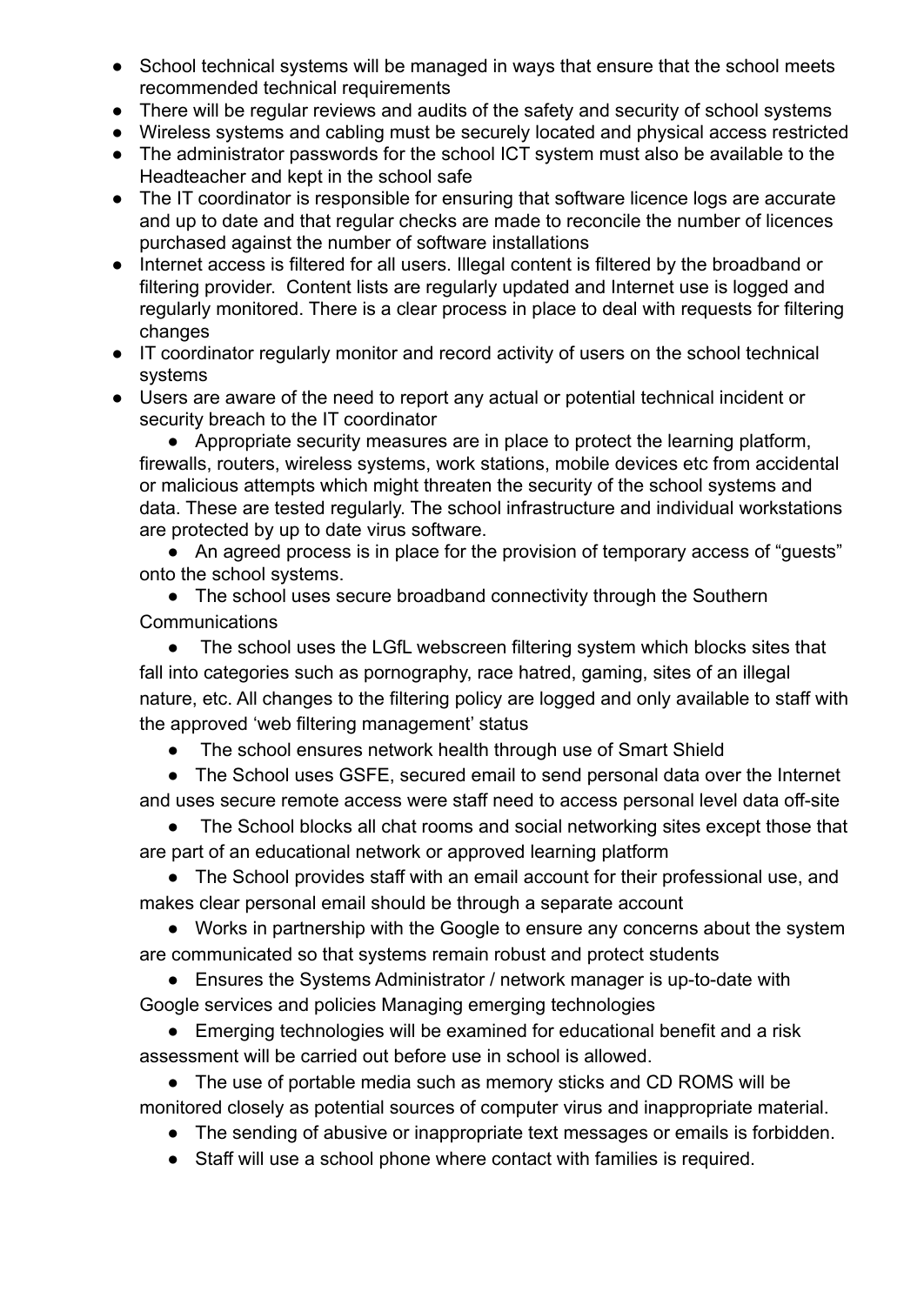- School technical systems will be managed in ways that ensure that the school meets recommended technical requirements
- There will be regular reviews and audits of the safety and security of school systems
- Wireless systems and cabling must be securely located and physical access restricted
- The administrator passwords for the school ICT system must also be available to the Headteacher and kept in the school safe
- The IT coordinator is responsible for ensuring that software licence logs are accurate and up to date and that regular checks are made to reconcile the number of licences purchased against the number of software installations
- Internet access is filtered for all users. Illegal content is filtered by the broadband or filtering provider. Content lists are regularly updated and Internet use is logged and regularly monitored. There is a clear process in place to deal with requests for filtering changes
- IT coordinator regularly monitor and record activity of users on the school technical systems
- Users are aware of the need to report any actual or potential technical incident or security breach to the IT coordinator

● Appropriate security measures are in place to protect the learning platform, firewalls, routers, wireless systems, work stations, mobile devices etc from accidental or malicious attempts which might threaten the security of the school systems and data. These are tested regularly. The school infrastructure and individual workstations are protected by up to date virus software.

• An agreed process is in place for the provision of temporary access of "guests" onto the school systems.

• The school uses secure broadband connectivity through the Southern **Communications** 

The school uses the LGfL webscreen filtering system which blocks sites that fall into categories such as pornography, race hatred, gaming, sites of an illegal nature, etc. All changes to the filtering policy are logged and only available to staff with the approved 'web filtering management' status

● The school ensures network health through use of Smart Shield

● The School uses GSFE, secured email to send personal data over the Internet and uses secure remote access were staff need to access personal level data off-site

The School blocks all chat rooms and social networking sites except those that are part of an educational network or approved learning platform

• The School provides staff with an email account for their professional use, and makes clear personal email should be through a separate account

● Works in partnership with the Google to ensure any concerns about the system are communicated so that systems remain robust and protect students

● Ensures the Systems Administrator / network manager is up-to-date with Google services and policies Managing emerging technologies

● Emerging technologies will be examined for educational benefit and a risk assessment will be carried out before use in school is allowed.

● The use of portable media such as memory sticks and CD ROMS will be monitored closely as potential sources of computer virus and inappropriate material.

- The sending of abusive or inappropriate text messages or emails is forbidden.
- Staff will use a school phone where contact with families is required.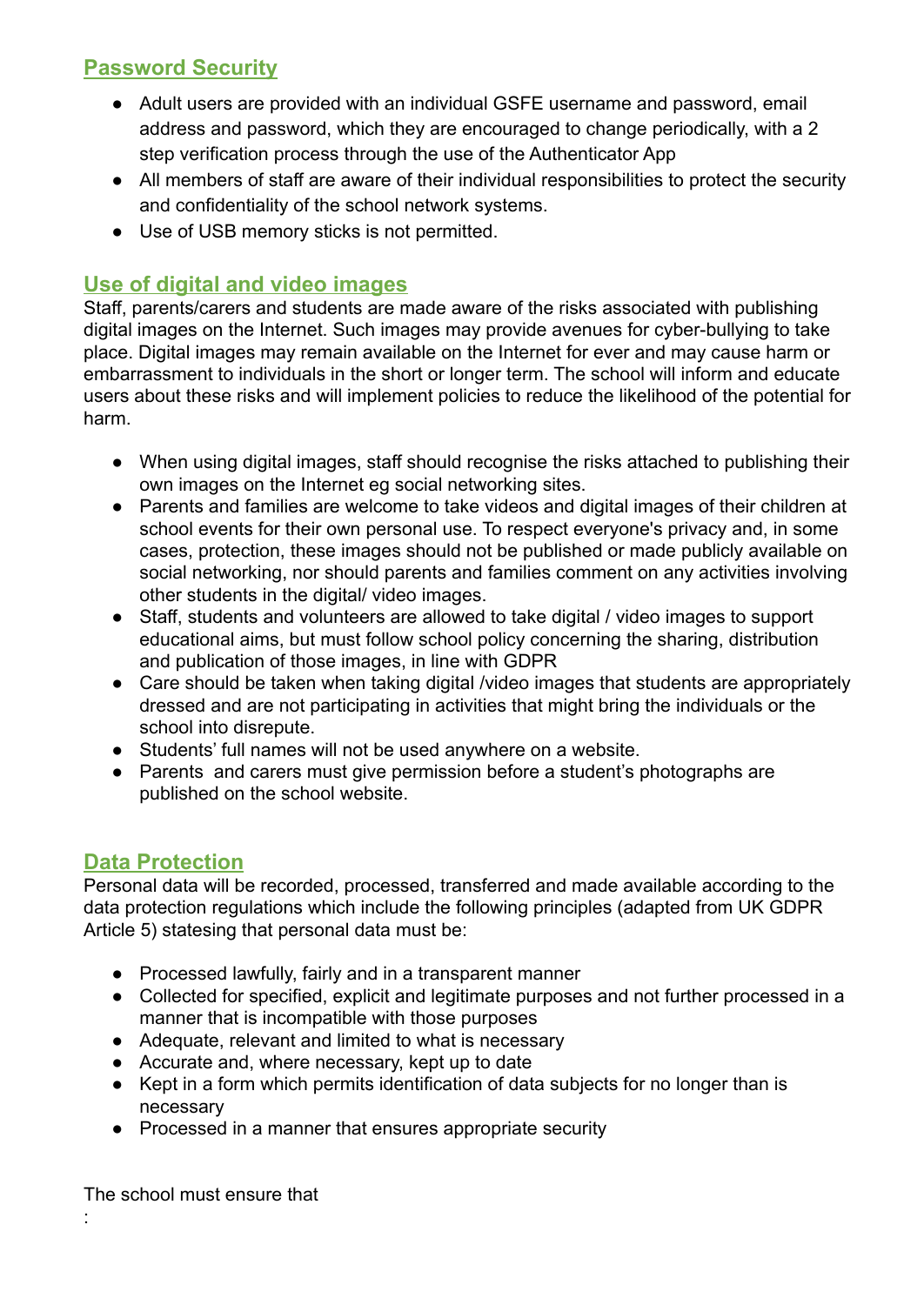#### **Password Security**

- Adult users are provided with an individual GSFE username and password, email address and password, which they are encouraged to change periodically, with a 2 step verification process through the use of the Authenticator App
- All members of staff are aware of their individual responsibilities to protect the security and confidentiality of the school network systems.
- Use of USB memory sticks is not permitted.

#### **Use of digital and video images**

Staff, parents/carers and students are made aware of the risks associated with publishing digital images on the Internet. Such images may provide avenues for cyber-bullying to take place. Digital images may remain available on the Internet for ever and may cause harm or embarrassment to individuals in the short or longer term. The school will inform and educate users about these risks and will implement policies to reduce the likelihood of the potential for harm.

- When using digital images, staff should recognise the risks attached to publishing their own images on the Internet eg social networking sites.
- Parents and families are welcome to take videos and digital images of their children at school events for their own personal use. To respect everyone's privacy and, in some cases, protection, these images should not be published or made publicly available on social networking, nor should parents and families comment on any activities involving other students in the digital/ video images.
- Staff, students and volunteers are allowed to take digital / video images to support educational aims, but must follow school policy concerning the sharing, distribution and publication of those images, in line with GDPR
- Care should be taken when taking digital /video images that students are appropriately dressed and are not participating in activities that might bring the individuals or the school into disrepute.
- Students' full names will not be used anywhere on a website.
- Parents and carers must give permission before a student's photographs are published on the school website.

#### **Data Protection**

Personal data will be recorded, processed, transferred and made available according to the data protection regulations which include the following principles (adapted from UK GDPR Article 5) statesing that personal data must be:

- Processed lawfully, fairly and in a transparent manner
- Collected for specified, explicit and legitimate purposes and not further processed in a manner that is incompatible with those purposes
- Adequate, relevant and limited to what is necessary
- Accurate and, where necessary, kept up to date
- Kept in a form which permits identification of data subjects for no longer than is necessary
- Processed in a manner that ensures appropriate security

The school must ensure that

: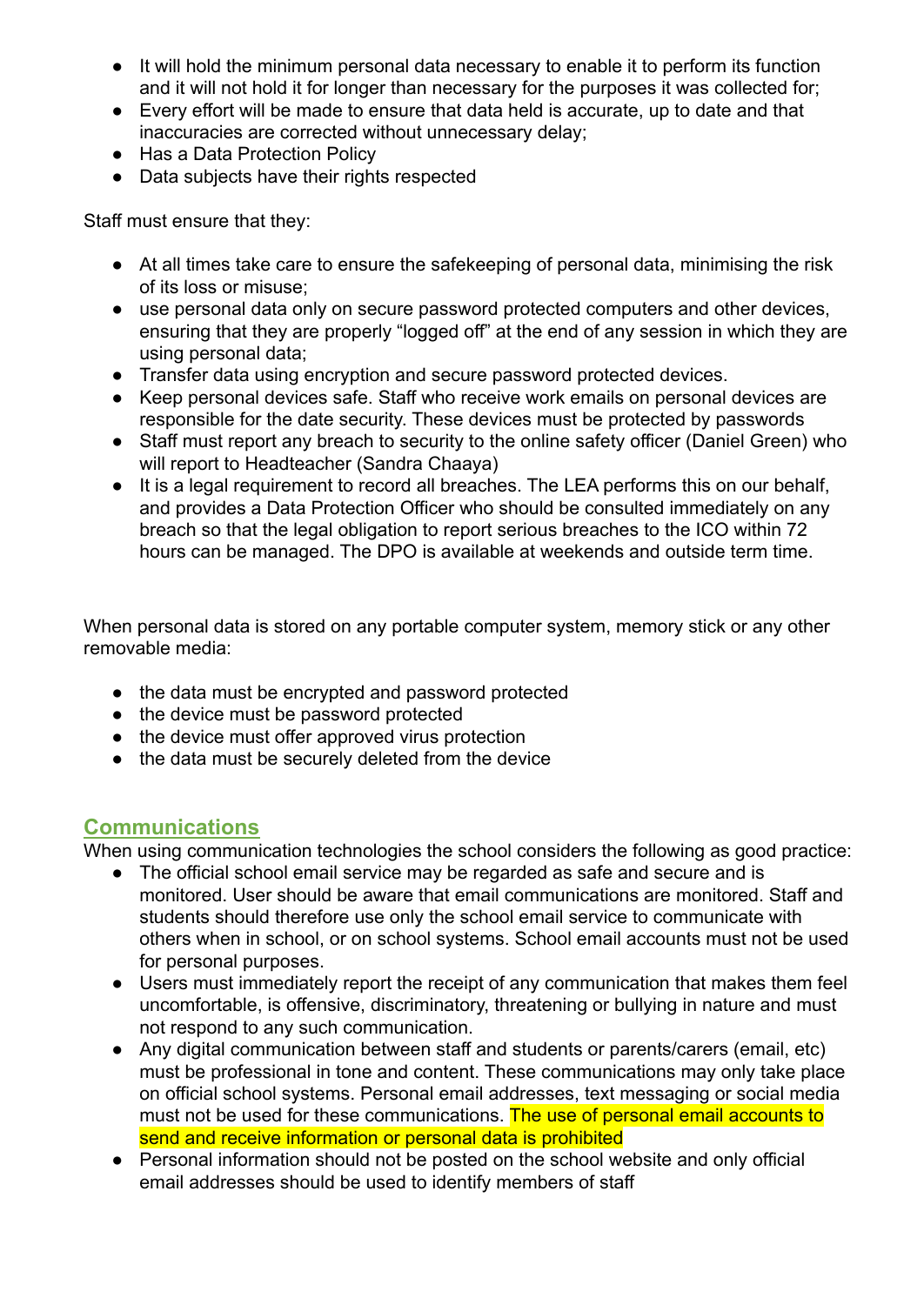- It will hold the minimum personal data necessary to enable it to perform its function and it will not hold it for longer than necessary for the purposes it was collected for;
- Every effort will be made to ensure that data held is accurate, up to date and that inaccuracies are corrected without unnecessary delay;
- Has a Data Protection Policy
- Data subjects have their rights respected

Staff must ensure that they:

- At all times take care to ensure the safekeeping of personal data, minimising the risk of its loss or misuse;
- use personal data only on secure password protected computers and other devices, ensuring that they are properly "logged off" at the end of any session in which they are using personal data;
- Transfer data using encryption and secure password protected devices.
- Keep personal devices safe. Staff who receive work emails on personal devices are responsible for the date security. These devices must be protected by passwords
- Staff must report any breach to security to the online safety officer (Daniel Green) who will report to Headteacher (Sandra Chaaya)
- It is a legal requirement to record all breaches. The LEA performs this on our behalf, and provides a Data Protection Officer who should be consulted immediately on any breach so that the legal obligation to report serious breaches to the ICO within 72 hours can be managed. The DPO is available at weekends and outside term time.

When personal data is stored on any portable computer system, memory stick or any other removable media:

- the data must be encrypted and password protected
- the device must be password protected
- the device must offer approved virus protection
- the data must be securely deleted from the device

#### **Communications**

When using communication technologies the school considers the following as good practice:

- The official school email service may be regarded as safe and secure and is monitored. User should be aware that email communications are monitored. Staff and students should therefore use only the school email service to communicate with others when in school, or on school systems. School email accounts must not be used for personal purposes.
- Users must immediately report the receipt of any communication that makes them feel uncomfortable, is offensive, discriminatory, threatening or bullying in nature and must not respond to any such communication.
- Any digital communication between staff and students or parents/carers (email, etc) must be professional in tone and content. These communications may only take place on official school systems. Personal email addresses, text messaging or social media must not be used for these communications. The use of personal email accounts to send and receive information or personal data is prohibited
- Personal information should not be posted on the school website and only official email addresses should be used to identify members of staff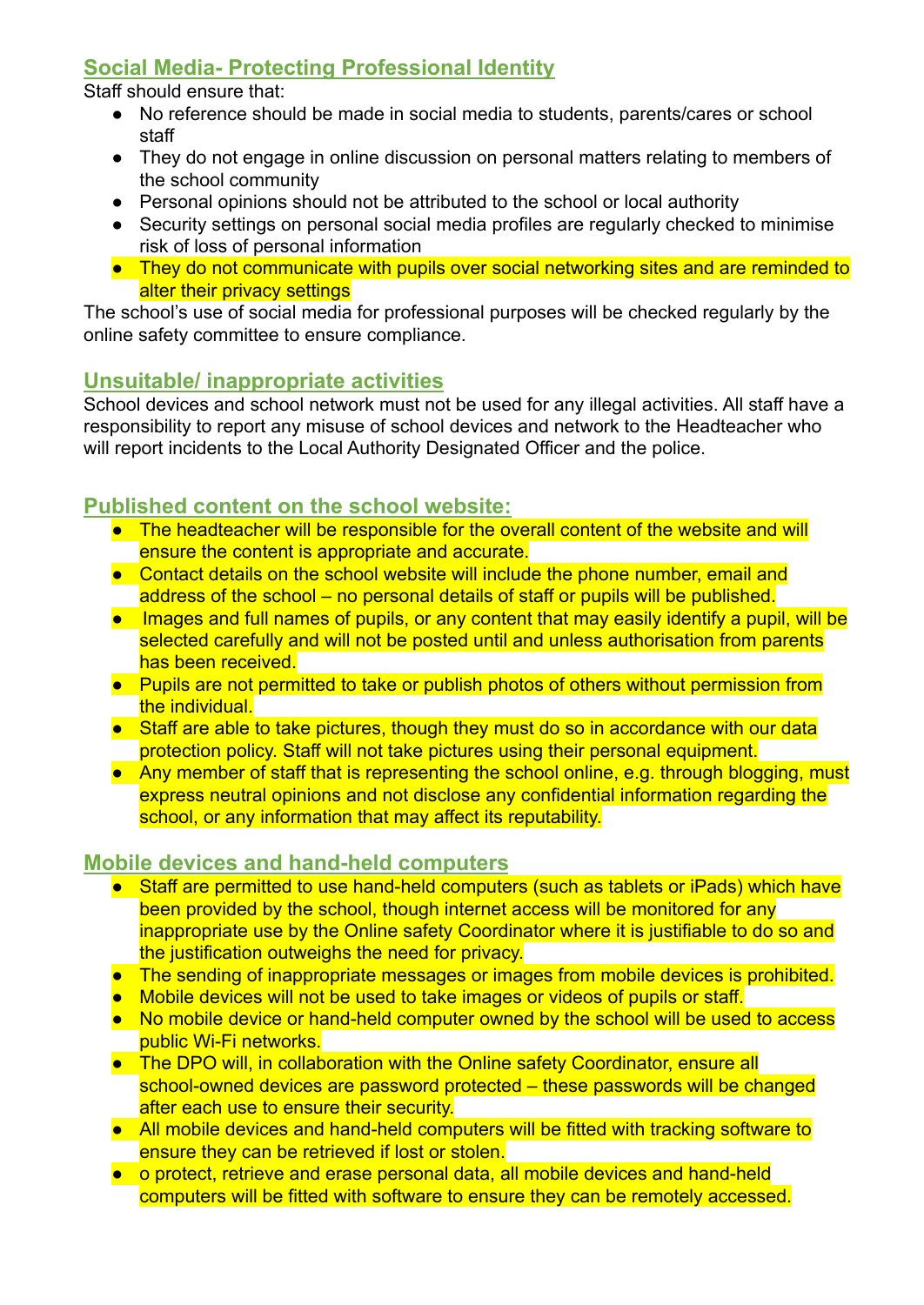#### **Social Media- Protecting Professional Identity**

Staff should ensure that:

- No reference should be made in social media to students, parents/cares or school staff
- They do not engage in online discussion on personal matters relating to members of the school community
- Personal opinions should not be attributed to the school or local authority
- Security settings on personal social media profiles are regularly checked to minimise risk of loss of personal information
- They do not communicate with pupils over social networking sites and are reminded to alter their privacy settings

The school's use of social media for professional purposes will be checked regularly by the online safety committee to ensure compliance.

#### **Unsuitable/ inappropriate activities**

School devices and school network must not be used for any illegal activities. All staff have a responsibility to report any misuse of school devices and network to the Headteacher who will report incidents to the Local Authority Designated Officer and the police.

#### **Published content on the school website:**

- The headteacher will be responsible for the overall content of the website and will ensure the content is appropriate and accurate.
- Contact details on the school website will include the phone number, email and address of the school – no personal details of staff or pupils will be published.
- Images and full names of pupils, or any content that may easily identify a pupil, will be selected carefully and will not be posted until and unless authorisation from parents has been received.
- Pupils are not permitted to take or publish photos of others without permission from the individual.
- Staff are able to take pictures, though they must do so in accordance with our data protection policy. Staff will not take pictures using their personal equipment.
- Any member of staff that is representing the school online, e.g. through blogging, must express neutral opinions and not disclose any confidential information regarding the school, or any information that may affect its reputability.

#### **Mobile devices and hand-held computers**

- Staff are permitted to use hand-held computers (such as tablets or iPads) which have been provided by the school, though internet access will be monitored for any inappropriate use by the Online safety Coordinator where it is justifiable to do so and the justification outweighs the need for privacy.
- The sending of inappropriate messages or images from mobile devices is prohibited.
- Mobile devices will not be used to take images or videos of pupils or staff.
- No mobile device or hand-held computer owned by the school will be used to access public Wi-Fi networks.
- The DPO will, in collaboration with the Online safety Coordinator, ensure all school-owned devices are password protected – these passwords will be changed after each use to ensure their security.
- All mobile devices and hand-held computers will be fitted with tracking software to ensure they can be retrieved if lost or stolen.
- o protect, retrieve and erase personal data, all mobile devices and hand-held computers will be fitted with software to ensure they can be remotely accessed.